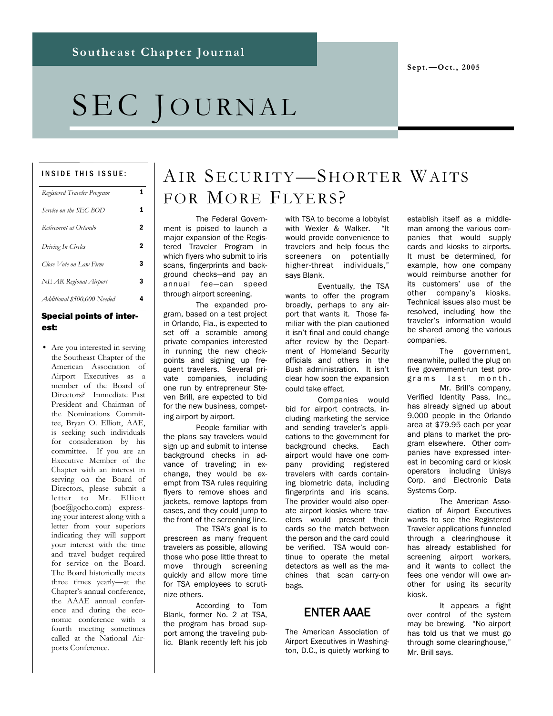# SEC JOURNAL

#### INSIDE THIS ISSUE:

| Registered Traveler Program |   |
|-----------------------------|---|
| Service on the SEC BOD      | 1 |
| Retirement at Orlando       | 2 |
| Driving In Circles          | 2 |
| Close Vote on Law Firm      | 3 |
| NE AR Regional Airport      | 3 |
| Additional \$500,000 Needed | 4 |

#### Special points of interest:

• Are you interested in serving the Southeast Chapter of the American Association of Airport Executives as a member of the Board of Directors? Immediate Past President and Chairman of the Nominations Committee, Bryan O. Elliott, AAE, is seeking such individuals for consideration by his committee. If you are an Executive Member of the Chapter with an interest in serving on the Board of Directors, please submit a letter to Mr. Elliott (boe@gocho.com) expressing your interest along with a letter from your superiors indicating they will support your interest with the time and travel budget required for service on the Board. The Board historically meets three times yearly—at the Chapter's annual conference, the AAAE annual conference and during the economic conference with a fourth meeting sometimes called at the National Airports Conference.

# AIR SECURITY-SHORTER WAITS FOR MORE FLYERS?

The Federal Government is poised to launch a major expansion of the Registered Traveler Program in which flyers who submit to iris scans, fingerprints and background checks—and pay an annual fee—can speed through airport screening.

The expanded program, based on a test project in Orlando, Fla., is expected to set off a scramble among private companies interested in running the new checkpoints and signing up frequent travelers. Several private companies, including one run by entrepreneur Steven Brill, are expected to bid for the new business, competing airport by airport.

People familiar with the plans say travelers would sign up and submit to intense background checks in advance of traveling; in exchange, they would be exempt from TSA rules requiring flyers to remove shoes and jackets, remove laptops from cases, and they could jump to the front of the screening line.

The TSA's goal is to prescreen as many frequent travelers as possible, allowing those who pose little threat to move through screening quickly and allow more time for TSA employees to scrutinize others.

According to Tom Blank, former No. 2 at TSA, the program has broad support among the traveling public. Blank recently left his job with TSA to become a lobbyist with Wexler & Walker. "It would provide convenience to travelers and help focus the screeners on potentially higher-threat individuals," says Blank.

Eventually, the TSA wants to offer the program broadly, perhaps to any airport that wants it. Those familiar with the plan cautioned it isn't final and could change after review by the Department of Homeland Security officials and others in the Bush administration. It isn't clear how soon the expansion could take effect.

Companies would bid for airport contracts, including marketing the service and sending traveler's applications to the government for background checks. Each airport would have one company providing registered travelers with cards containing biometric data, including fingerprints and iris scans. The provider would also operate airport kiosks where travelers would present their cards so the match between the person and the card could be verified. TSA would continue to operate the metal detectors as well as the machines that scan carry-on bags.

### ENTER AAAE

The American Association of Airport Executives in Washington, D.C., is quietly working to establish itself as a middleman among the various companies that would supply cards and kiosks to airports. It must be determined, for example, how one company would reimburse another for its customers' use of the other company's kiosks. Technical issues also must be resolved, including how the traveler's information would be shared among the various companies.

The government, meanwhile, pulled the plug on five government-run test programs last month. Mr. Brill's company, Verified Identity Pass, Inc., has already signed up about 9,000 people in the Orlando area at \$79.95 each per year

and plans to market the program elsewhere. Other companies have expressed interest in becoming card or kiosk operators including Unisys Corp. and Electronic Data Systems Corp.

The American Association of Airport Executives wants to see the Registered Traveler applications funneled through a clearinghouse it has already established for screening airport workers, and it wants to collect the fees one vendor will owe another for using its security kiosk.

It appears a fight over control of the system may be brewing. "No airport has told us that we must go through some clearinghouse," Mr. Brill says.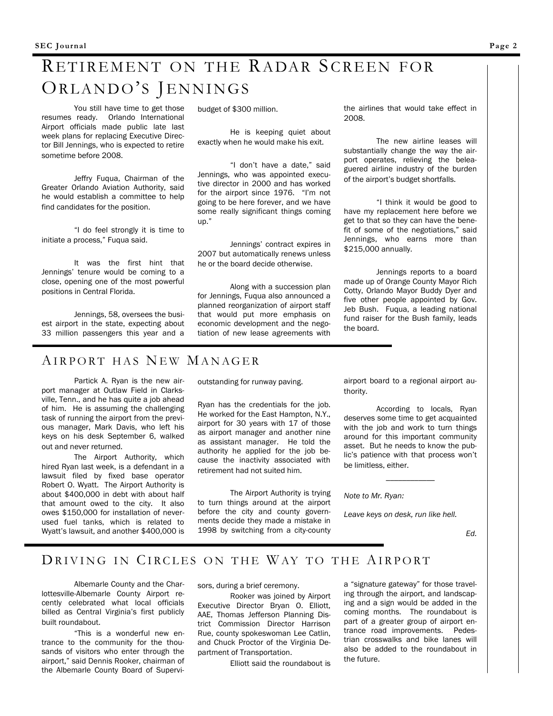## RETIREMENT ON THE RADAR SCREEN FOR ORLANDO'S JENNINGS

You still have time to get those resumes ready. Orlando International Airport officials made public late last week plans for replacing Executive Director Bill Jennings, who is expected to retire sometime before 2008.

Jeffry Fuqua, Chairman of the Greater Orlando Aviation Authority, said he would establish a committee to help find candidates for the position.

"I do feel strongly it is time to initiate a process," Fuqua said.

It was the first hint that Jennings' tenure would be coming to a close, opening one of the most powerful positions in Central Florida.

Jennings, 58, oversees the busiest airport in the state, expecting about 33 million passengers this year and a

#### AIRPORT HAS NEW MANAGER

Partick A. Ryan is the new airport manager at Outlaw Field in Clarksville, Tenn., and he has quite a job ahead of him. He is assuming the challenging task of running the airport from the previous manager, Mark Davis, who left his keys on his desk September 6, walked out and never returned.

The Airport Authority, which hired Ryan last week, is a defendant in a lawsuit filed by fixed base operator Robert O. Wyatt. The Airport Authority is about \$400,000 in debt with about half that amount owed to the city. It also owes \$150,000 for installation of neverused fuel tanks, which is related to Wyatt's lawsuit, and another \$400,000 is

budget of \$300 million.

He is keeping quiet about exactly when he would make his exit.

"I don't have a date," said Jennings, who was appointed executive director in 2000 and has worked for the airport since 1976. "I'm not going to be here forever, and we have some really significant things coming up."

Jennings' contract expires in 2007 but automatically renews unless he or the board decide otherwise.

Along with a succession plan for Jennings, Fuqua also announced a planned reorganization of airport staff that would put more emphasis on economic development and the negotiation of new lease agreements with the airlines that would take effect in 2008.

The new airline leases will substantially change the way the airport operates, relieving the beleaguered airline industry of the burden of the airport's budget shortfalls.

"I think it would be good to have my replacement here before we get to that so they can have the benefit of some of the negotiations," said Jennings, who earns more than \$215,000 annually.

Jennings reports to a board made up of Orange County Mayor Rich Cotty, Orlando Mayor Buddy Dyer and five other people appointed by Gov. Jeb Bush. Fuqua, a leading national fund raiser for the Bush family, leads the board.

outstanding for runway paving.

Ryan has the credentials for the job. He worked for the East Hampton, N.Y., airport for 30 years with 17 of those as airport manager and another nine as assistant manager. He told the authority he applied for the job because the inactivity associated with retirement had not suited him.

The Airport Authority is trying to turn things around at the airport before the city and county governments decide they made a mistake in 1998 by switching from a city-county

airport board to a regional airport authority.

According to locals, Ryan deserves some time to get acquainted with the job and work to turn things around for this important community asset. But he needs to know the public's patience with that process won't be limitless, either.

 $\overline{\phantom{a}}$ 

*Note to Mr. Ryan:*

*Leave keys on desk, run like hell.*

*Ed.*

### DRIVING IN CIRCLES ON THE WAY TO THE AIRPORT

Albemarle County and the Charlottesville-Albemarle County Airport recently celebrated what local officials billed as Central Virginia's first publicly built roundabout.

"This is a wonderful new entrance to the community for the thousands of visitors who enter through the airport," said Dennis Rooker, chairman of the Albemarle County Board of Supervisors, during a brief ceremony.

Rooker was joined by Airport Executive Director Bryan O. Elliott, AAE, Thomas Jefferson Planning District Commission Director Harrison Rue, county spokeswoman Lee Catlin, and Chuck Proctor of the Virginia Department of Transportation.

Elliott said the roundabout is

a "signature gateway" for those traveling through the airport, and landscaping and a sign would be added in the coming months. The roundabout is part of a greater group of airport entrance road improvements. Pedestrian crosswalks and bike lanes will also be added to the roundabout in the future.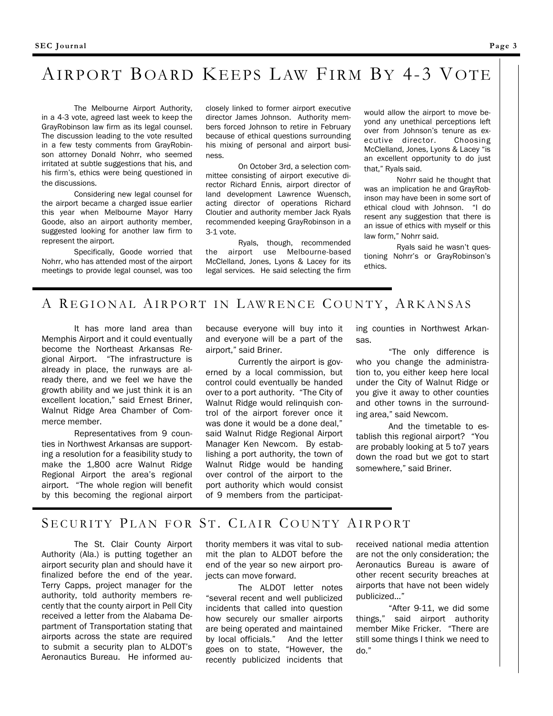### AIRPORT BOARD KEEPS LAW FIRM BY 4-3 VOTE

The Melbourne Airport Authority, in a 4-3 vote, agreed last week to keep the GrayRobinson law firm as its legal counsel. The discussion leading to the vote resulted in a few testy comments from GrayRobinson attorney Donald Nohrr, who seemed irritated at subtle suggestions that his, and his firm's, ethics were being questioned in the discussions.

Considering new legal counsel for the airport became a charged issue earlier this year when Melbourne Mayor Harry Goode, also an airport authority member, suggested looking for another law firm to represent the airport.

Specifically, Goode worried that Nohrr, who has attended most of the airport meetings to provide legal counsel, was too

closely linked to former airport executive director James Johnson. Authority members forced Johnson to retire in February because of ethical questions surrounding his mixing of personal and airport business.

On October 3rd, a selection committee consisting of airport executive director Richard Ennis, airport director of land development Lawrence Wuensch, acting director of operations Richard Cloutier and authority member Jack Ryals recommended keeping GrayRobinson in a 3-1 vote.

Ryals, though, recommended the airport use Melbourne-based McClelland, Jones, Lyons & Lacey for its legal services. He said selecting the firm would allow the airport to move beyond any unethical perceptions left over from Johnson's tenure as executive director. Choosing McClelland, Jones, Lyons & Lacey "is an excellent opportunity to do just that," Ryals said.

Nohrr said he thought that was an implication he and GrayRobinson may have been in some sort of ethical cloud with Johnson. "I do resent any suggestion that there is an issue of ethics with myself or this law form," Nohrr said.

Ryals said he wasn't questioning Nohrr's or GrayRobinson's ethics.

#### A REGIONAL AIRPORT IN LAWRENCE COUNTY, ARKANSAS

It has more land area than Memphis Airport and it could eventually become the Northeast Arkansas Regional Airport. "The infrastructure is already in place, the runways are already there, and we feel we have the growth ability and we just think it is an excellent location," said Ernest Briner, Walnut Ridge Area Chamber of Commerce member.

Representatives from 9 counties in Northwest Arkansas are supporting a resolution for a feasibility study to make the 1,800 acre Walnut Ridge Regional Airport the area's regional airport. "The whole region will benefit by this becoming the regional airport

because everyone will buy into it and everyone will be a part of the airport," said Briner.

Currently the airport is governed by a local commission, but control could eventually be handed over to a port authority. "The City of Walnut Ridge would relinquish control of the airport forever once it was done it would be a done deal," said Walnut Ridge Regional Airport Manager Ken Newcom. By establishing a port authority, the town of Walnut Ridge would be handing over control of the airport to the port authority which would consist of 9 members from the participating counties in Northwest Arkansas.

"The only difference is who you change the administration to, you either keep here local under the City of Walnut Ridge or you give it away to other counties and other towns in the surrounding area," said Newcom.

And the timetable to establish this regional airport? "You are probably looking at 5 to7 years down the road but we got to start somewhere," said Briner.

#### SECURITY PLAN FOR ST. CLAIR COUNTY AIRPORT

The St. Clair County Airport Authority (Ala.) is putting together an airport security plan and should have it finalized before the end of the year. Terry Capps, project manager for the authority, told authority members recently that the county airport in Pell City received a letter from the Alabama Department of Transportation stating that airports across the state are required to submit a security plan to ALDOT's Aeronautics Bureau. He informed authority members it was vital to submit the plan to ALDOT before the end of the year so new airport projects can move forward.

The ALDOT letter notes "several recent and well publicized incidents that called into question how securely our smaller airports are being operated and maintained by local officials." And the letter goes on to state, "However, the recently publicized incidents that received national media attention are not the only consideration; the Aeronautics Bureau is aware of other recent security breaches at airports that have not been widely publicized…"

"After 9-11, we did some things," said airport authority member Mike Fricker. "There are still some things I think we need to do."